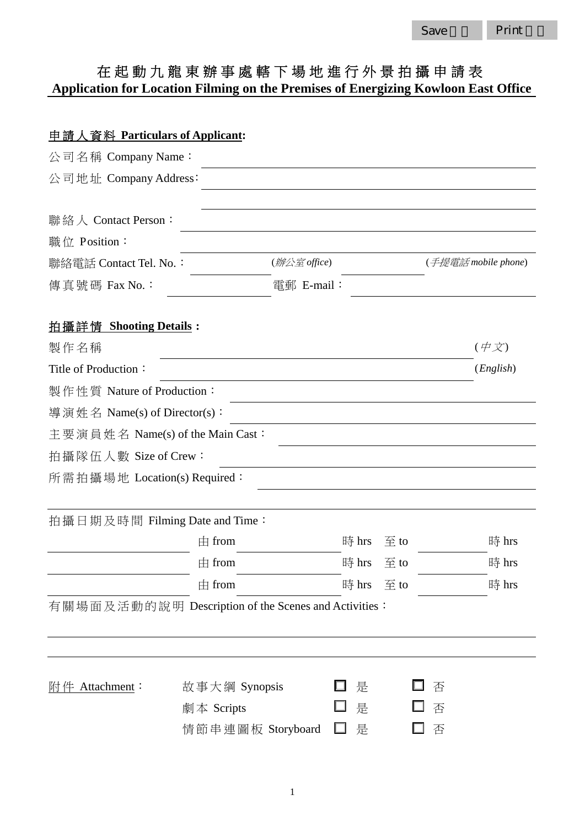# 在起動九龍東辦事處轄下場地進行外景拍攝申請表 **Application for Location Filming on the Premises of Energizing Kowloon East Office**

| <u> 申請人資料 Particulars of Applicant:</u> |                                                      |                                   |                              |           |
|-----------------------------------------|------------------------------------------------------|-----------------------------------|------------------------------|-----------|
| 公司名稱 Company Name:                      |                                                      |                                   |                              |           |
| 公司地址 Company Address:                   |                                                      |                                   |                              |           |
|                                         |                                                      |                                   |                              |           |
| 聯絡人 Contact Person:                     |                                                      |                                   |                              |           |
| 職位 Position:                            |                                                      |                                   |                              |           |
| 聯絡電話 Contact Tel. No.:                  |                                                      | $(\frac{m}{2} \cdot \frac{1}{2})$ | ( <i>手提電話 mobile phone</i> ) |           |
| 傳真號碼 Fax No.:                           |                                                      | 電郵 E-mail:                        |                              |           |
| 拍攝詳情 Shooting Details:                  |                                                      |                                   |                              |           |
| 製作名稱                                    |                                                      |                                   |                              | (中文)      |
| Title of Production:                    |                                                      |                                   |                              | (English) |
| 製作性質 Nature of Production:              |                                                      |                                   |                              |           |
| 導演姓名 Name(s) of Director(s):            |                                                      |                                   |                              |           |
| 主要演員姓名 Name(s) of the Main Cast:        |                                                      |                                   |                              |           |
| 拍攝隊伍人數 Size of Crew:                    |                                                      |                                   |                              |           |
| 所需拍攝場地 Location(s) Required:            |                                                      |                                   |                              |           |
| 拍攝日期及時間 Filming Date and Time:          |                                                      |                                   |                              |           |
|                                         | $\pm$ from                                           | 時 hrs                             | $\Xi$ to                     | 時 hrs     |
|                                         | $\pm$ from                                           | 時 hrs                             | $\Xi$ to                     | 時 hrs     |
|                                         | $\pm$ from                                           | 時 hrs                             | $\Xi$ to                     | 時 hrs     |
|                                         | 有關場面及活動的說明 Description of the Scenes and Activities: |                                   |                              |           |
|                                         |                                                      |                                   |                              |           |
|                                         |                                                      |                                   |                              |           |
| <u>附件 Attachment</u> :                  | 故事大綱 Synopsis                                        | 是                                 | 否                            |           |
|                                         | 劇本 Scripts                                           | 是                                 | 否                            |           |
|                                         | 情節串連圖板 Storyboard                                    | 是                                 | 否                            |           |
|                                         |                                                      |                                   |                              |           |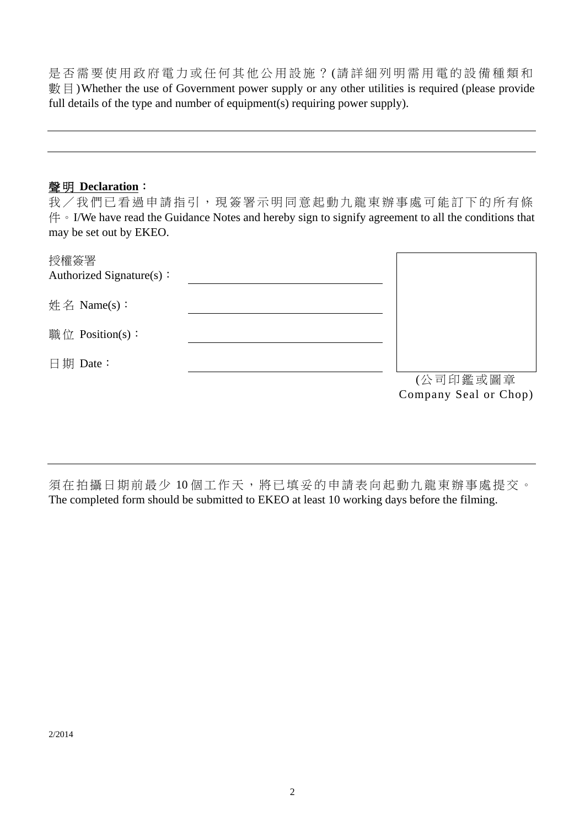是否需要使用政府電力或任何其他公用設施? (請詳細列明需用電的設備種類和 數目)Whether the use of Government power supply or any other utilities is required (please provide full details of the type and number of equipment(s) requiring power supply).

#### 聲 明 **Declaration**:

我/我們已看過申請指引,現簽署示明同意起動九龍東辦事處可能訂下的所有條 件。I/We have read the Guidance Notes and hereby sign to signify agreement to all the conditions that may be set out by EKEO.

| 授權簽署<br>Authorized Signature(s): |                                   |
|----------------------------------|-----------------------------------|
| 姓名 Name(s):                      |                                   |
| 職位 Position(s):                  |                                   |
| 日期 Date:                         | (公司印鑑或圖章<br>Company Seal or Chop) |

須在拍攝日期前最少10個工作天,將已填妥的申請表向起動九龍東辦事處提交。 The completed form should be submitted to EKEO at least 10 working days before the filming.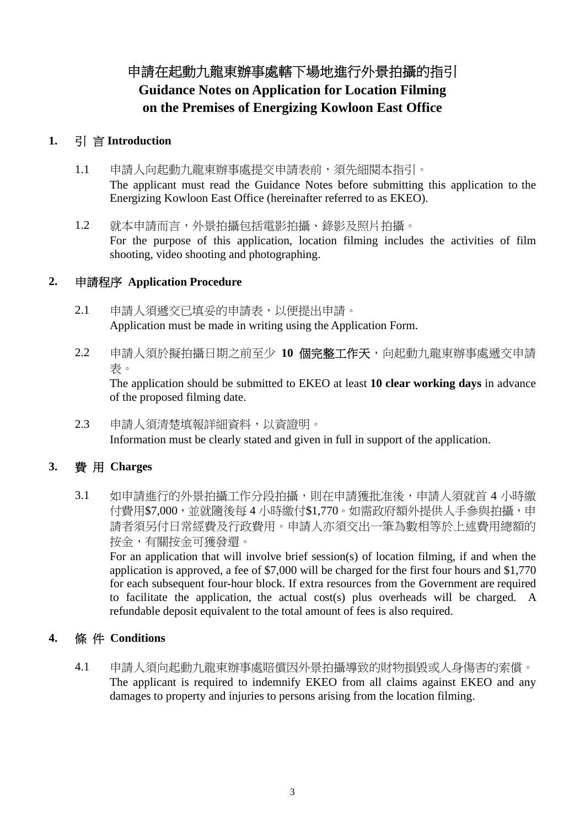# 申請在起動九龍東辦事處轄下場地進行外景拍攝的指引 **Guidance Notes on Application for Location Filming on the Premises of Energizing Kowloon East Office**

### **1.** 引 言 **Introduction**

- 1.1 申請人向起動九龍東辦事處提交申請表前,須先細閱本指引。 The applicant must read the Guidance Notes before submitting this application to the Energizing Kowloon East Office (hereinafter referred to as EKEO).
- 1.2 就本申請而言,外景拍攝包括電影拍攝、錄影及照片拍攝。 For the purpose of this application, location filming includes the activities of film shooting, video shooting and photographing.

#### **2.** 申請程序 **Application Procedure**

- 2.1 申請人須遞交已填妥的申請表,以便提出申請。 Application must be made in writing using the Application Form.
- 2.2 申請人須於擬拍攝日期之前至少 **10** 個完整工作天,向起動九龍東辦事處遞交申請 表。

The application should be submitted to EKEO at least **10 clear working days** in advance of the proposed filming date.

 2.3 申請人須清楚填報詳細資料,以資證明。 Information must be clearly stated and given in full in support of the application.

## **3.** 費 用 **Charges**

3.1 如申請進行的外景拍攝工作分段拍攝,則在申請獲批准後,申請人須就首 4 小時繳 付費用\$7,000,並就隨後每 4 小時繳付\$1,770。如需政府額外提供人手參與拍攝,申 請者須另付日常經費及行政費用。申請人亦須交出一筆為數相等於上述費用總額的 按金,有關按金可獲發還。

For an application that will involve brief session(s) of location filming, if and when the application is approved, a fee of \$7,000 will be charged for the first four hours and \$1,770 for each subsequent four-hour block. If extra resources from the Government are required to facilitate the application, the actual cost(s) plus overheads will be charged. A refundable deposit equivalent to the total amount of fees is also required.

## **4.** 條 件 **Conditions**

 4.1 申請人須向起動九龍東辦事處賠償因外景拍攝導致的財物損毀或人身傷害的索償。 The applicant is required to indemnify EKEO from all claims against EKEO and any damages to property and injuries to persons arising from the location filming.